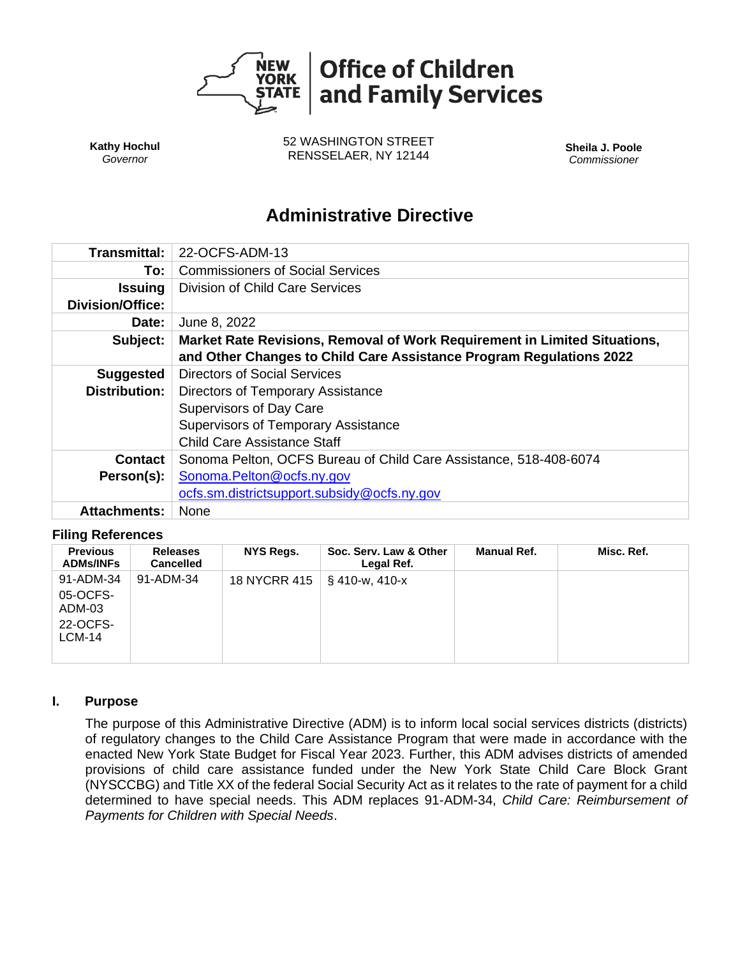

**Kathy Hochul** *Governor*

52 WASHINGTON STREET RENSSELAER, NY 12144 **Sheila J. Poole**

*Commissioner*

# **Administrative Directive**

| Transmittal:            | 22-OCFS-ADM-13                                                            |  |  |  |  |
|-------------------------|---------------------------------------------------------------------------|--|--|--|--|
| To:                     | <b>Commissioners of Social Services</b>                                   |  |  |  |  |
| <b>Issuing</b>          | Division of Child Care Services                                           |  |  |  |  |
| <b>Division/Office:</b> |                                                                           |  |  |  |  |
| Date:                   | June 8, 2022                                                              |  |  |  |  |
| Subject:                | Market Rate Revisions, Removal of Work Requirement in Limited Situations, |  |  |  |  |
|                         | and Other Changes to Child Care Assistance Program Regulations 2022       |  |  |  |  |
| <b>Suggested</b>        | Directors of Social Services                                              |  |  |  |  |
| <b>Distribution:</b>    | Directors of Temporary Assistance                                         |  |  |  |  |
|                         | <b>Supervisors of Day Care</b>                                            |  |  |  |  |
|                         | <b>Supervisors of Temporary Assistance</b>                                |  |  |  |  |
|                         | <b>Child Care Assistance Staff</b>                                        |  |  |  |  |
| <b>Contact</b>          | Sonoma Pelton, OCFS Bureau of Child Care Assistance, 518-408-6074         |  |  |  |  |
| Person(s):              | Sonoma.Pelton@ocfs.ny.gov                                                 |  |  |  |  |
|                         | ocfs.sm.districtsupport.subsidy@ocfs.ny.gov                               |  |  |  |  |
| <b>Attachments:</b>     | None                                                                      |  |  |  |  |

#### **Filing References**

| <b>Previous</b><br><b>ADMs/INFs</b>                          | <b>Releases</b><br><b>Cancelled</b> | <b>NYS Regs.</b> | Soc. Serv. Law & Other<br>Legal Ref. | <b>Manual Ref.</b> | Misc. Ref. |
|--------------------------------------------------------------|-------------------------------------|------------------|--------------------------------------|--------------------|------------|
| 91-ADM-34<br>05-OCFS-<br>ADM-03<br>22-OCFS-<br><b>LCM-14</b> | 91-ADM-34                           | 18 NYCRR 415     | § 410-ա, 410-х                       |                    |            |

# **I. Purpose**

The purpose of this Administrative Directive (ADM) is to inform local social services districts (districts) of regulatory changes to the Child Care Assistance Program that were made in accordance with the enacted New York State Budget for Fiscal Year 2023. Further, this ADM advises districts of amended provisions of child care assistance funded under the New York State Child Care Block Grant (NYSCCBG) and Title XX of the federal Social Security Act as it relates to the rate of payment for a child determined to have special needs. This ADM replaces 91-ADM-34, *Child Care: Reimbursement of Payments for Children with Special Needs*.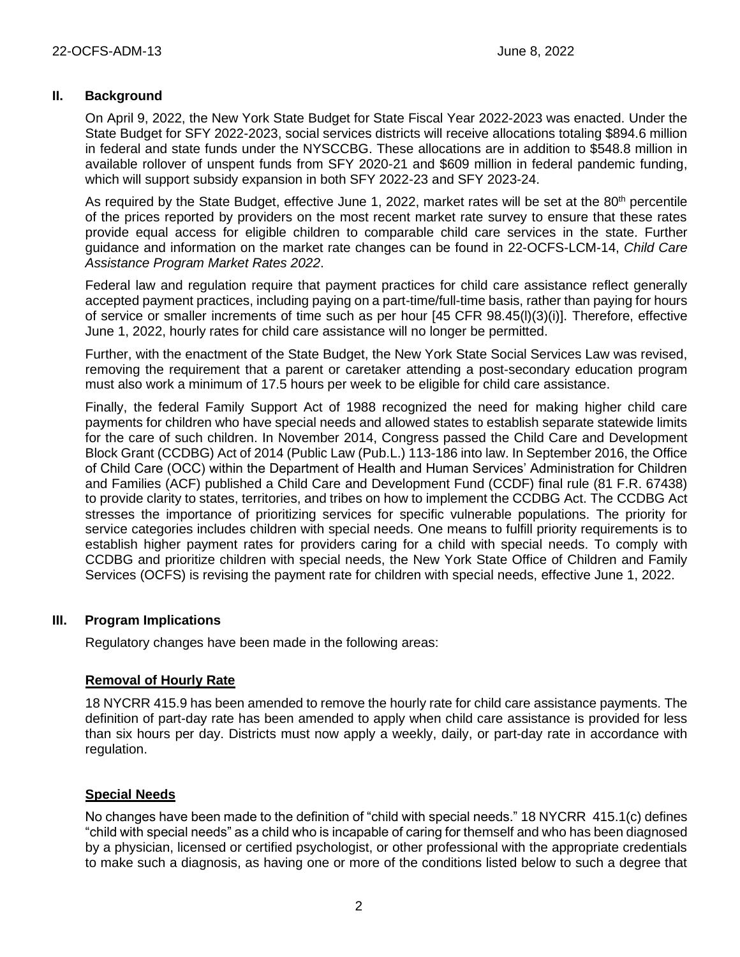## **II. Background**

On April 9, 2022, the New York State Budget for State Fiscal Year 2022-2023 was enacted. Under the State Budget for SFY 2022-2023, social services districts will receive allocations totaling \$894.6 million in federal and state funds under the NYSCCBG. These allocations are in addition to \$548.8 million in available rollover of unspent funds from SFY 2020-21 and \$609 million in federal pandemic funding, which will support subsidy expansion in both SFY 2022-23 and SFY 2023-24.

As required by the State Budget, effective June 1, 2022, market rates will be set at the 80<sup>th</sup> percentile of the prices reported by providers on the most recent market rate survey to ensure that these rates provide equal access for eligible children to comparable child care services in the state. Further guidance and information on the market rate changes can be found in 22-OCFS-LCM-14, *Child Care Assistance Program Market Rates 2022*.

Federal law and regulation require that payment practices for child care assistance reflect generally accepted payment practices, including paying on a part-time/full-time basis, rather than paying for hours of service or smaller increments of time such as per hour [45 CFR 98.45(l)(3)(i)]. Therefore, effective June 1, 2022, hourly rates for child care assistance will no longer be permitted.

Further, with the enactment of the State Budget, the New York State Social Services Law was revised, removing the requirement that a parent or caretaker attending a post-secondary education program must also work a minimum of 17.5 hours per week to be eligible for child care assistance.

Finally, the federal Family Support Act of 1988 recognized the need for making higher child care payments for children who have special needs and allowed states to establish separate statewide limits for the care of such children. In November 2014, Congress passed the Child Care and Development Block Grant (CCDBG) Act of 2014 (Public Law (Pub.L.) 113-186 into law. In September 2016, the Office of Child Care (OCC) within the Department of Health and Human Services' Administration for Children and Families (ACF) published a Child Care and Development Fund (CCDF) final rule (81 F.R. 67438) to provide clarity to states, territories, and tribes on how to implement the CCDBG Act. The CCDBG Act stresses the importance of prioritizing services for specific vulnerable populations. The priority for service categories includes children with special needs. One means to fulfill priority requirements is to establish higher payment rates for providers caring for a child with special needs. To comply with CCDBG and prioritize children with special needs, the New York State Office of Children and Family Services (OCFS) is revising the payment rate for children with special needs, effective June 1, 2022.

## **III. Program Implications**

Regulatory changes have been made in the following areas:

## **Removal of Hourly Rate**

18 NYCRR 415.9 has been amended to remove the hourly rate for child care assistance payments. The definition of part-day rate has been amended to apply when child care assistance is provided for less than six hours per day. Districts must now apply a weekly, daily, or part-day rate in accordance with regulation.

## **Special Needs**

No changes have been made to the definition of "child with special needs." 18 NYCRR 415.1(c) defines "child with special needs" as a child who is incapable of caring for themself and who has been diagnosed by a physician, licensed or certified psychologist, or other professional with the appropriate credentials to make such a diagnosis, as having one or more of the conditions listed below to such a degree that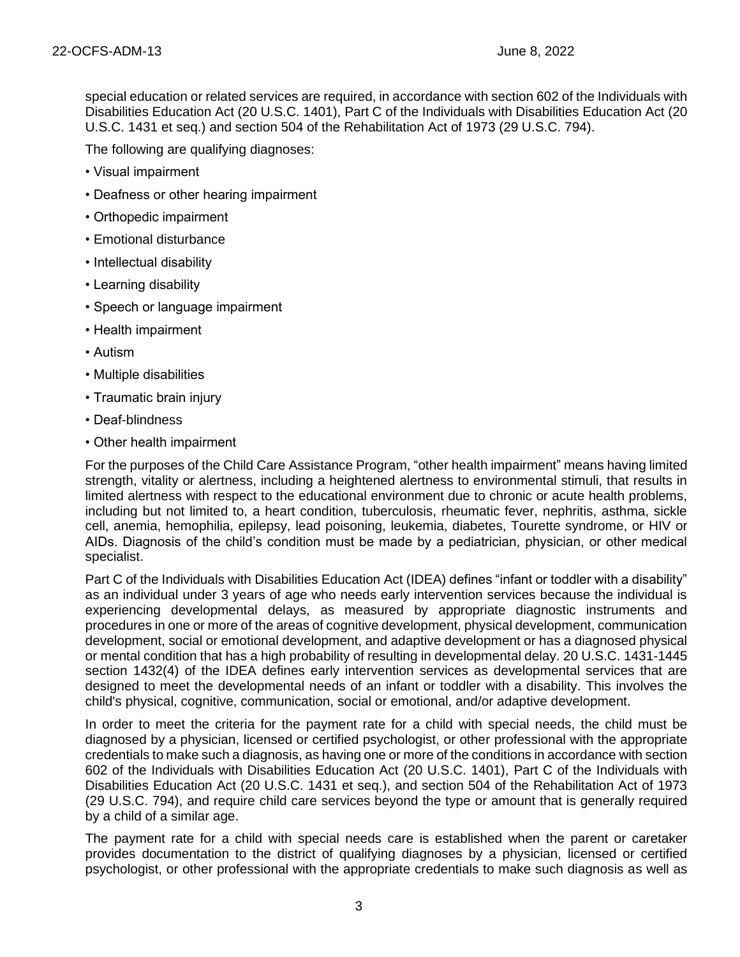special education or related services are required, in accordance with section 602 of the Individuals with Disabilities Education Act (20 U.S.C. 1401), Part C of the Individuals with Disabilities Education Act (20 U.S.C. 1431 et seq.) and section 504 of the Rehabilitation Act of 1973 (29 U.S.C. 794).

The following are qualifying diagnoses:

- Visual impairment
- Deafness or other hearing impairment
- Orthopedic impairment
- Emotional disturbance
- Intellectual disability
- Learning disability
- Speech or language impairment
- Health impairment
- Autism
- Multiple disabilities
- Traumatic brain injury
- Deaf-blindness
- Other health impairment

For the purposes of the Child Care Assistance Program, "other health impairment" means having limited strength, vitality or alertness, including a heightened alertness to environmental stimuli, that results in limited alertness with respect to the educational environment due to chronic or acute health problems, including but not limited to, a heart condition, tuberculosis, rheumatic fever, nephritis, asthma, sickle cell, anemia, hemophilia, epilepsy, lead poisoning, leukemia, diabetes, Tourette syndrome, or HIV or AIDs. Diagnosis of the child's condition must be made by a pediatrician, physician, or other medical specialist.

Part C of the Individuals with Disabilities Education Act (IDEA) defines "infant or toddler with a disability" as an individual under 3 years of age who needs early intervention services because the individual is experiencing developmental delays, as measured by appropriate diagnostic instruments and procedures in one or more of the areas of cognitive development, physical development, communication development, social or emotional development, and adaptive development or has a diagnosed physical or mental condition that has a high probability of resulting in developmental delay. 20 U.S.C. 1431-1445 section 1432(4) of the IDEA defines early intervention services as developmental services that are designed to meet the developmental needs of an infant or toddler with a disability. This involves the child's physical, cognitive, communication, social or emotional, and/or adaptive development.

In order to meet the criteria for the payment rate for a child with special needs, the child must be diagnosed by a physician, licensed or certified psychologist, or other professional with the appropriate credentials to make such a diagnosis, as having one or more of the conditions in accordance with section 602 of the Individuals with Disabilities Education Act (20 U.S.C. 1401), Part C of the Individuals with Disabilities Education Act (20 U.S.C. 1431 et seq.), and section 504 of the Rehabilitation Act of 1973 (29 U.S.C. 794), and require child care services beyond the type or amount that is generally required by a child of a similar age.

The payment rate for a child with special needs care is established when the parent or caretaker provides documentation to the district of qualifying diagnoses by a physician, licensed or certified psychologist, or other professional with the appropriate credentials to make such diagnosis as well as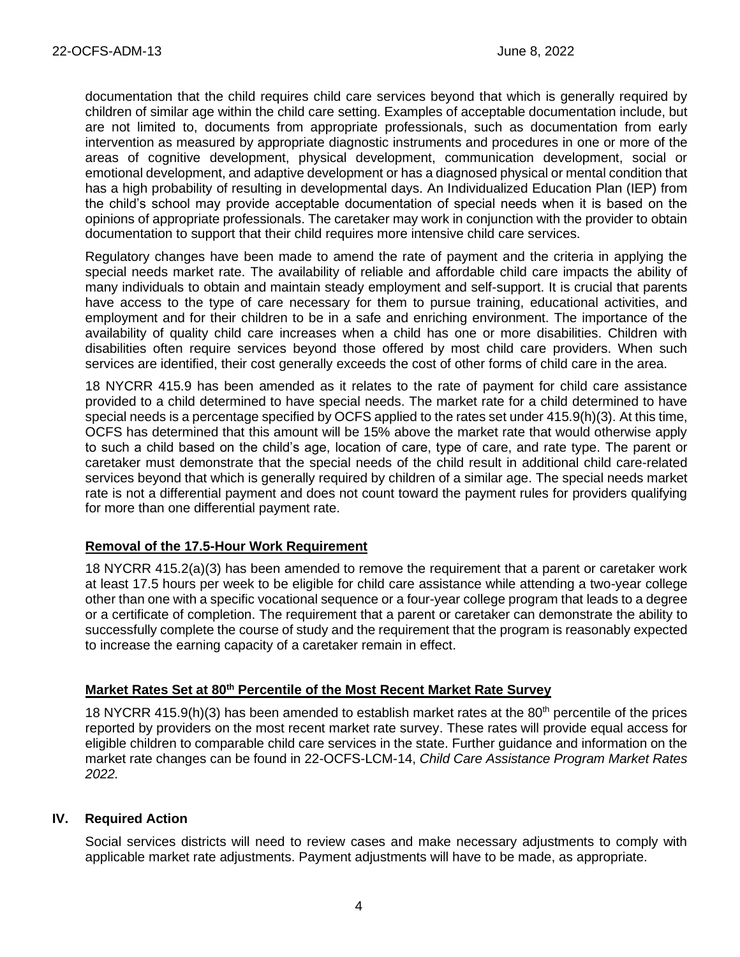documentation that the child requires child care services beyond that which is generally required by children of similar age within the child care setting. Examples of acceptable documentation include, but are not limited to, documents from appropriate professionals, such as documentation from early intervention as measured by appropriate diagnostic instruments and procedures in one or more of the areas of cognitive development, physical development, communication development, social or emotional development, and adaptive development or has a diagnosed physical or mental condition that has a high probability of resulting in developmental days. An Individualized Education Plan (IEP) from the child's school may provide acceptable documentation of special needs when it is based on the opinions of appropriate professionals. The caretaker may work in conjunction with the provider to obtain documentation to support that their child requires more intensive child care services.

Regulatory changes have been made to amend the rate of payment and the criteria in applying the special needs market rate. The availability of reliable and affordable child care impacts the ability of many individuals to obtain and maintain steady employment and self-support. It is crucial that parents have access to the type of care necessary for them to pursue training, educational activities, and employment and for their children to be in a safe and enriching environment. The importance of the availability of quality child care increases when a child has one or more disabilities. Children with disabilities often require services beyond those offered by most child care providers. When such services are identified, their cost generally exceeds the cost of other forms of child care in the area.

18 NYCRR 415.9 has been amended as it relates to the rate of payment for child care assistance provided to a child determined to have special needs. The market rate for a child determined to have special needs is a percentage specified by OCFS applied to the rates set under 415.9(h)(3). At this time, OCFS has determined that this amount will be 15% above the market rate that would otherwise apply to such a child based on the child's age, location of care, type of care, and rate type. The parent or caretaker must demonstrate that the special needs of the child result in additional child care-related services beyond that which is generally required by children of a similar age. The special needs market rate is not a differential payment and does not count toward the payment rules for providers qualifying for more than one differential payment rate.

## **Removal of the 17.5-Hour Work Requirement**

18 NYCRR 415.2(a)(3) has been amended to remove the requirement that a parent or caretaker work at least 17.5 hours per week to be eligible for child care assistance while attending a two-year college other than one with a specific vocational sequence or a four-year college program that leads to a degree or a certificate of completion. The requirement that a parent or caretaker can demonstrate the ability to successfully complete the course of study and the requirement that the program is reasonably expected to increase the earning capacity of a caretaker remain in effect.

## **Market Rates Set at 80th Percentile of the Most Recent Market Rate Survey**

18 NYCRR 415.9(h)(3) has been amended to establish market rates at the 80<sup>th</sup> percentile of the prices reported by providers on the most recent market rate survey. These rates will provide equal access for eligible children to comparable child care services in the state. Further guidance and information on the market rate changes can be found in 22-OCFS-LCM-14, *Child Care Assistance Program Market Rates 2022.*

## **IV. Required Action**

Social services districts will need to review cases and make necessary adjustments to comply with applicable market rate adjustments. Payment adjustments will have to be made, as appropriate.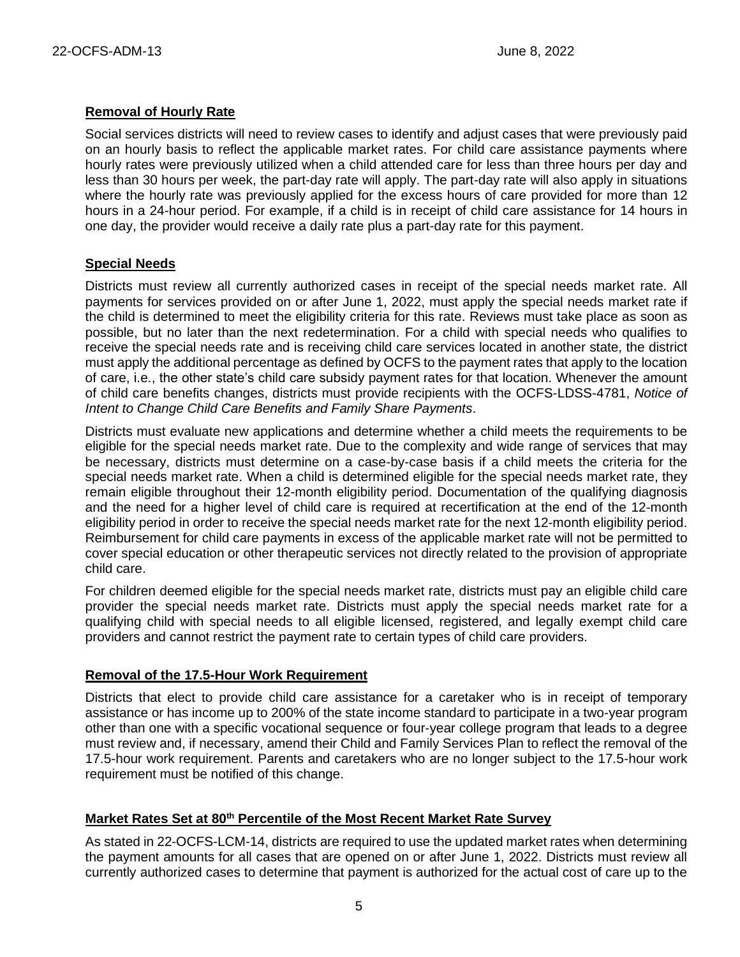#### **Removal of Hourly Rate**

Social services districts will need to review cases to identify and adjust cases that were previously paid on an hourly basis to reflect the applicable market rates. For child care assistance payments where hourly rates were previously utilized when a child attended care for less than three hours per day and less than 30 hours per week, the part-day rate will apply. The part-day rate will also apply in situations where the hourly rate was previously applied for the excess hours of care provided for more than 12 hours in a 24-hour period. For example, if a child is in receipt of child care assistance for 14 hours in one day, the provider would receive a daily rate plus a part-day rate for this payment.

## **Special Needs**

Districts must review all currently authorized cases in receipt of the special needs market rate. All payments for services provided on or after June 1, 2022, must apply the special needs market rate if the child is determined to meet the eligibility criteria for this rate. Reviews must take place as soon as possible, but no later than the next redetermination. For a child with special needs who qualifies to receive the special needs rate and is receiving child care services located in another state, the district must apply the additional percentage as defined by OCFS to the payment rates that apply to the location of care, i.e., the other state's child care subsidy payment rates for that location. Whenever the amount of child care benefits changes, districts must provide recipients with the OCFS-LDSS-4781, *Notice of Intent to Change Child Care Benefits and Family Share Payments*.

Districts must evaluate new applications and determine whether a child meets the requirements to be eligible for the special needs market rate. Due to the complexity and wide range of services that may be necessary, districts must determine on a case-by-case basis if a child meets the criteria for the special needs market rate. When a child is determined eligible for the special needs market rate, they remain eligible throughout their 12-month eligibility period. Documentation of the qualifying diagnosis and the need for a higher level of child care is required at recertification at the end of the 12-month eligibility period in order to receive the special needs market rate for the next 12-month eligibility period. Reimbursement for child care payments in excess of the applicable market rate will not be permitted to cover special education or other therapeutic services not directly related to the provision of appropriate child care.

For children deemed eligible for the special needs market rate, districts must pay an eligible child care provider the special needs market rate. Districts must apply the special needs market rate for a qualifying child with special needs to all eligible licensed, registered, and legally exempt child care providers and cannot restrict the payment rate to certain types of child care providers.

#### **Removal of the 17.5-Hour Work Requirement**

Districts that elect to provide child care assistance for a caretaker who is in receipt of temporary assistance or has income up to 200% of the state income standard to participate in a two-year program other than one with a specific vocational sequence or four-year college program that leads to a degree must review and, if necessary, amend their Child and Family Services Plan to reflect the removal of the 17.5-hour work requirement. Parents and caretakers who are no longer subject to the 17.5-hour work requirement must be notified of this change.

# **Market Rates Set at 80th Percentile of the Most Recent Market Rate Survey**

As stated in 22-OCFS-LCM-14, districts are required to use the updated market rates when determining the payment amounts for all cases that are opened on or after June 1, 2022. Districts must review all currently authorized cases to determine that payment is authorized for the actual cost of care up to the